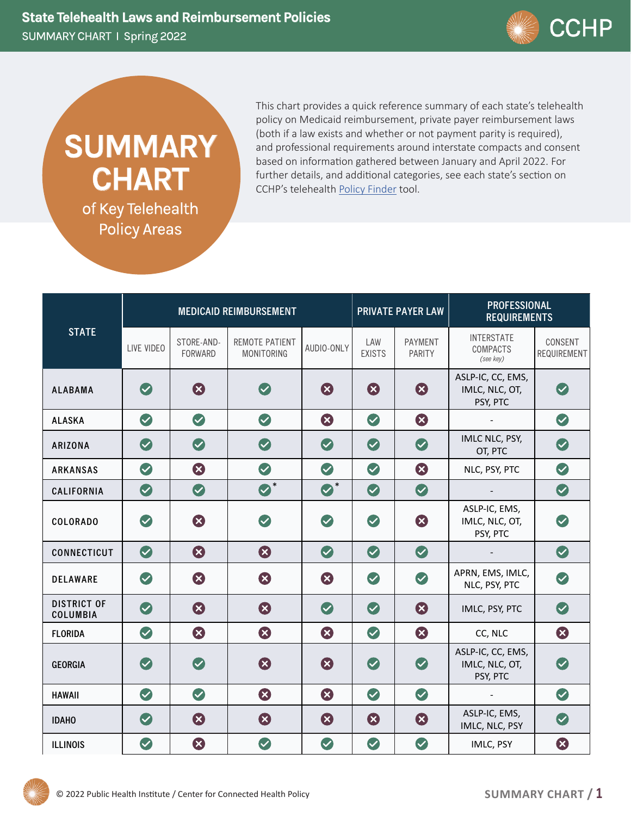

## **SUMMARY CHART**

of Key Telehealth Policy Areas

This chart provides a quick reference summary of each state's telehealth policy on Medicaid reimbursement, private payer reimbursement laws (both if a law exists and whether or not payment parity is required), and professional requirements around interstate compacts and consent based on information gathered between January and April 2022. For further details, and additional categories, see each state's section on CCHP's telehealth Policy Finder tool.

| <b>STATE</b>                   | <b>MEDICAID REIMBURSEMENT</b> |                       |                                     |             | <b>PRIVATE PAYER LAW</b> |                   | <b>PROFESSIONAL</b><br><b>REQUIREMENTS</b>        |                               |
|--------------------------------|-------------------------------|-----------------------|-------------------------------------|-------------|--------------------------|-------------------|---------------------------------------------------|-------------------------------|
|                                | LIVE VIDEO                    | STORE-AND-<br>FORWARD | REMOTE PATIENT<br><b>MONITORING</b> | AUDIO-ONLY  | LAW<br><b>EXISTS</b>     | PAYMENT<br>PARITY | <b>INTERSTATE</b><br><b>COMPACTS</b><br>(see key) | CONSENT<br><b>REQUIREMENT</b> |
| <b>ALABAMA</b>                 | $\bullet$                     | B                     | $\blacktriangledown$                | Ø           | 8                        | Ø                 | ASLP-IC, CC, EMS,<br>IMLC, NLC, OT,<br>PSY, PTC   | $\bullet$                     |
| <b>ALASKA</b>                  | $\bullet$                     | $\bullet$             | $\bullet$                           | 3           | $\bullet$                | 8                 |                                                   | $\bullet$                     |
| ARIZONA                        | $\bullet$                     | $\bullet$             | $\bullet$                           | $\bullet$   | $\bullet$                | $\bullet$         | IMLC NLC, PSY,<br>OT, PTC                         | $\bullet$                     |
| <b>ARKANSAS</b>                | $\bullet$                     | 8                     | $\bullet$                           | $\bullet$   | $\bullet$                | 8                 | NLC, PSY, PTC                                     | $\bullet$                     |
| CALIFORNIA                     | $\bullet$                     | $\bullet$             | $\bullet^*$                         | $\bullet^*$ | $\bullet$                | $\bullet$         |                                                   | $\bullet$                     |
| <b>COLORADO</b>                | $\bullet$                     | Ø                     | $\bullet$                           | $\bullet$   | $\bullet$                | Ø                 | ASLP-IC, EMS,<br>IMLC, NLC, OT,<br>PSY, PTC       | $\bullet$                     |
| CONNECTICUT                    | $\bullet$                     | 8                     | 0                                   | $\bullet$   | $\bullet$                | $\bullet$         |                                                   | $\bullet$                     |
| <b>DELAWARE</b>                | $\heartsuit$                  | Ø                     | Ø                                   | Ø           | $\bullet$                | $\bullet$         | APRN, EMS, IMLC,<br>NLC, PSY, PTC                 | $\bullet$                     |
| <b>DISTRICT OF</b><br>COLUMBIA | $\bullet$                     | 0                     | 0                                   | $\bullet$   | $\bullet$                | 8                 | IMLC, PSY, PTC                                    | $\bullet$                     |
| <b>FLORIDA</b>                 | $\bullet$                     | B                     | 3                                   | Ø           | $\bullet$                | B                 | CC, NLC                                           | Ø                             |
| <b>GEORGIA</b>                 | $\bullet$                     | $\bullet$             | 0                                   | 3           | $\bullet$                | $\bullet$         | ASLP-IC, CC, EMS,<br>IMLC, NLC, OT,<br>PSY, PTC   | $\bullet$                     |
| <b>HAWAII</b>                  | $\bullet$                     | $\bullet$             | 3                                   | 3           | $\bullet$                | $\bullet$         | $\overline{\phantom{a}}$                          | $\bullet$                     |
| <b>IDAHO</b>                   | $\bullet$                     | Ø                     | Ø                                   | ⊗           | ⊗                        | 8                 | ASLP-IC, EMS,<br>IMLC, NLC, PSY                   | $\bullet$                     |
| <b>ILLINOIS</b>                | $\bullet$                     | 3                     | $\bullet$                           | $\bullet$   | $\bullet$                | $\bullet$         | IMLC, PSY                                         | 3                             |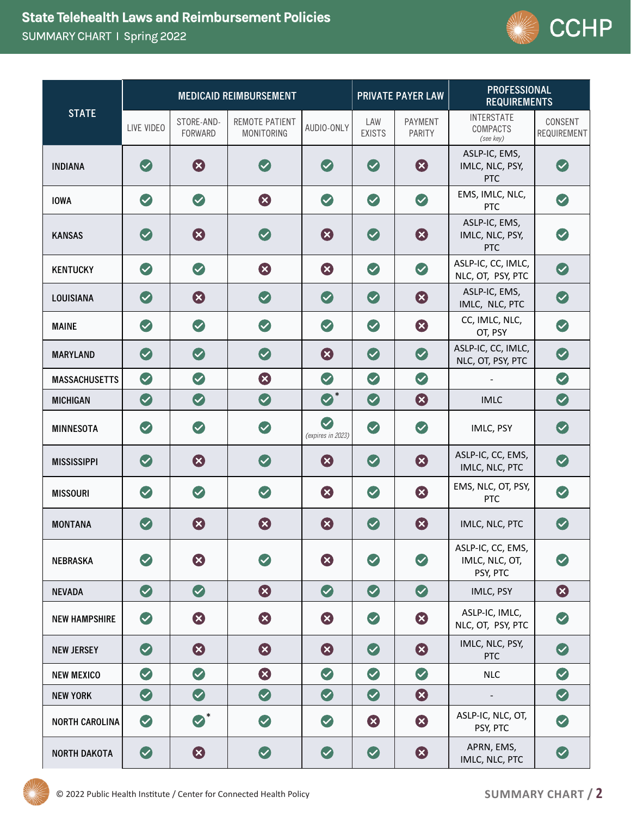

| <b>STATE</b>          | <b>MEDICAID REIMBURSEMENT</b> |                       |                                     |                                | <b>PRIVATE PAYER LAW</b> |                   | <b>PROFESSIONAL</b><br><b>REQUIREMENTS</b>        |                        |
|-----------------------|-------------------------------|-----------------------|-------------------------------------|--------------------------------|--------------------------|-------------------|---------------------------------------------------|------------------------|
|                       | LIVE VIDEO                    | STORE-AND-<br>FORWARD | REMOTE PATIENT<br><b>MONITORING</b> | AUDIO-ONLY                     | LAW<br><b>EXISTS</b>     | PAYMENT<br>PARITY | <b>INTERSTATE</b><br><b>COMPACTS</b><br>(see key) | CONSENT<br>REQUIREMENT |
| <b>INDIANA</b>        | $\bullet$                     | Ø                     | $\blacktriangledown$                | $\bullet$                      | $\bullet$                | Ø                 | ASLP-IC, EMS,<br>IMLC, NLC, PSY,<br><b>PTC</b>    | $\bullet$              |
| <b>IOWA</b>           | $\bullet$                     | $\bullet$             | Ø                                   | $\bullet$                      | $\bullet$                | $\bullet$         | EMS, IMLC, NLC,<br><b>PTC</b>                     | $\bullet$              |
| <b>KANSAS</b>         | $\bullet$                     | Ø                     | $\left(\rule{0pt}{10pt}\right.$     | Ø                              | $\bullet$                | Ø                 | ASLP-IC, EMS,<br>IMLC, NLC, PSY,<br><b>PTC</b>    | $\bullet$              |
| <b>KENTUCKY</b>       | $\bullet$                     | $\bullet$             | 3                                   | 3                              | $\bullet$                | $\bullet$         | ASLP-IC, CC, IMLC,<br>NLC, OT, PSY, PTC           | $\bullet$              |
| LOUISIANA             | $\bullet$                     | 3                     | $\bullet$                           | $\bullet$                      | $\bullet$                | 0                 | ASLP-IC, EMS,<br>IMLC, NLC, PTC                   | $\bullet$              |
| <b>MAINE</b>          | $\bullet$                     | $\bullet$             | $\bullet$                           | $\bullet$                      | $\bullet$                | 8                 | CC, IMLC, NLC,<br>OT, PSY                         | $\bullet$              |
| <b>MARYLAND</b>       | $\bullet$                     | $\bullet$             | $\bullet$                           | 0                              | $\bullet$                | $\bullet$         | ASLP-IC, CC, IMLC,<br>NLC, OT, PSY, PTC           | $\bullet$              |
| <b>MASSACHUSETTS</b>  | $\bullet$                     | $\bullet$             | Ø                                   | $\bullet$                      | $\bullet$                | $\bullet$         |                                                   | $\bullet$              |
| <b>MICHIGAN</b>       | $\bullet$                     | $\bullet$             | $\bigcirc$                          | $\bullet^*$                    | $\bullet$                | 8                 | <b>IMLC</b>                                       | $\bullet$              |
| <b>MINNESOTA</b>      | $\bullet$                     | $\bullet$             | $\bullet$                           | $\bullet$<br>(expires in 2023) | $\bullet$                | $\bullet$         | IMLC, PSY                                         | $\bullet$              |
| <b>MISSISSIPPI</b>    | $\bullet$                     | Ø                     | $\bullet$                           | 0                              | $\bullet$                | $\odot$           | ASLP-IC, CC, EMS,<br>IMLC, NLC, PTC               | $\bullet$              |
| <b>MISSOURI</b>       | $\bullet$                     | $\bullet$             | $\bullet$                           | Ø                              | $\bullet$                | Ø                 | EMS, NLC, OT, PSY,<br>PTC                         | $\bullet$              |
| <b>MONTANA</b>        | $\bigcirc$                    | 8                     | Ø                                   | 0                              | $\bullet$                | 0                 | IMLC, NLC, PTC                                    | $\bullet$              |
| <b>NEBRASKA</b>       | $\bullet$                     | Ø                     | $(\blacktriangledown)$              | 3                              | $\bullet$                | $\bullet$         | ASLP-IC, CC, EMS,<br>IMLC, NLC, OT,<br>PSY, PTC   | $\bullet$              |
| <b>NEVADA</b>         | $\bullet$                     | $\bullet$             | 3                                   | $\bullet$                      | $\bullet$                | $\bullet$         | IMLC, PSY                                         | $\odot$                |
| <b>NEW HAMPSHIRE</b>  | $\bullet$                     | 3                     | Ø                                   | ⊗                              | $\bullet$                | Ø                 | ASLP-IC, IMLC,<br>NLC, OT, PSY, PTC               | $\bullet$              |
| <b>NEW JERSEY</b>     | $\bullet$                     | 3                     | 3                                   | ⊗                              | $\bullet$                | $\odot$           | IMLC, NLC, PSY,<br><b>PTC</b>                     | $\bullet$              |
| <b>NEW MEXICO</b>     | $\bullet$                     | $\bullet$             | Ø                                   | $\bullet$                      | $\bullet$                | $\bullet$         | <b>NLC</b>                                        | $\bullet$              |
| <b>NEW YORK</b>       | $\bullet$                     | $\bullet$             | $\bullet$                           | $\bullet$                      | $\bullet$                | 8                 | $\overline{\phantom{a}}$                          | $\bullet$              |
| <b>NORTH CAROLINA</b> | $\bullet$                     | $\bullet^*$           | $\bullet$                           | $\bullet$                      | 3                        | 8                 | ASLP-IC, NLC, OT,<br>PSY, PTC                     | $\bullet$              |
| <b>NORTH DAKOTA</b>   | $\bullet$                     | $\odot$               | $\bullet$                           | $\bullet$                      | $\bullet$                | 8                 | APRN, EMS,<br>IMLC, NLC, PTC                      | $\bullet$              |